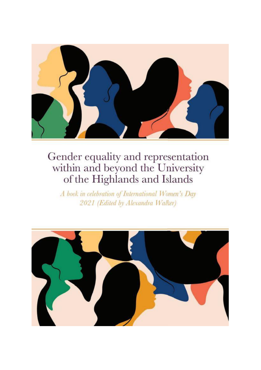

A book in celebration of International Women's Day 2021 (Edited by Alexandra Walker)

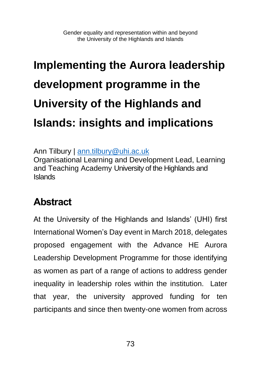## **Implementing the Aurora leadership development programme in the University of the Highlands and Islands: insights and implications**

Ann Tilbury | [ann.tilbury@uhi.ac.uk](mailto:ann.tilbury@uhi.ac.uk)

Organisational Learning and Development Lead, Learning and Teaching Academy University of the Highlands and Islands

#### **Abstract**

At the University of the Highlands and Islands' (UHI) first International Women's Day event in March 2018, delegates proposed engagement with the Advance HE Aurora Leadership Development Programme for those identifying as women as part of a range of actions to address gender inequality in leadership roles within the institution. Later that year, the university approved funding for ten participants and since then twenty-one women from across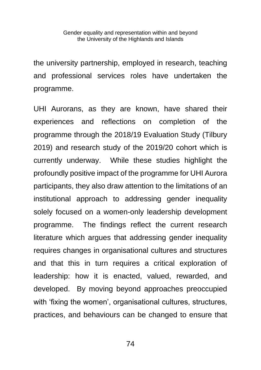the university partnership, employed in research, teaching and professional services roles have undertaken the programme.

UHI Aurorans, as they are known, have shared their experiences and reflections on completion of the programme through the 2018/19 Evaluation Study (Tilbury 2019) and research study of the 2019/20 cohort which is currently underway. While these studies highlight the profoundly positive impact of the programme for UHI Aurora participants, they also draw attention to the limitations of an institutional approach to addressing gender inequality solely focused on a women-only leadership development programme. The findings reflect the current research literature which argues that addressing gender inequality requires changes in organisational cultures and structures and that this in turn requires a critical exploration of leadership: how it is enacted, valued, rewarded, and developed. By moving beyond approaches preoccupied with 'fixing the women', organisational cultures, structures, practices, and behaviours can be changed to ensure that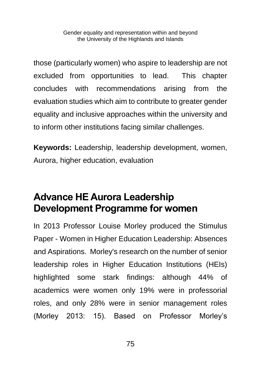those (particularly women) who aspire to leadership are not excluded from opportunities to lead. This chapter concludes with recommendations arising from the evaluation studies which aim to contribute to greater gender equality and inclusive approaches within the university and to inform other institutions facing similar challenges.

**Keywords:** Leadership, leadership development, women, Aurora, higher education, evaluation

#### **Advance HE Aurora Leadership Development Programme for women**

In 2013 Professor Louise Morley produced the Stimulus Paper - Women in Higher Education Leadership: Absences and Aspirations. Morley's research on the number of senior leadership roles in Higher Education Institutions (HEIs) highlighted some stark findings: although 44% of academics were women only 19% were in professorial roles, and only 28% were in senior management roles (Morley 2013: 15). Based on Professor Morley's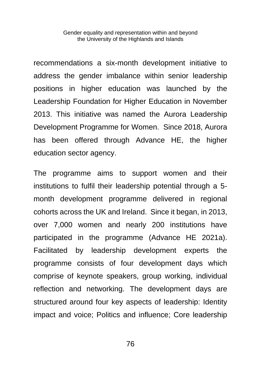recommendations a six-month development initiative to address the gender imbalance within senior leadership positions in higher education was launched by the Leadership Foundation for Higher Education in November 2013. This initiative was named the Aurora Leadership Development Programme for Women. Since 2018, Aurora has been offered through Advance HE, the higher education sector agency.

The programme aims to support women and their institutions to fulfil their leadership potential through a 5 month development programme delivered in regional cohorts across the UK and Ireland. Since it began, in 2013, over 7,000 women and nearly 200 institutions have participated in the programme (Advance HE 2021a). Facilitated by leadership development experts the programme consists of four development days which comprise of keynote speakers, group working, individual reflection and networking. The development days are structured around four key aspects of leadership: Identity impact and voice; Politics and influence; Core leadership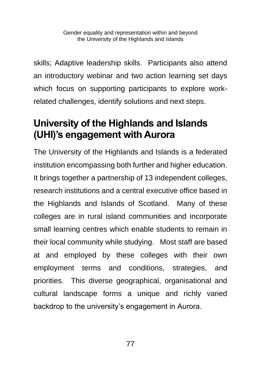skills; Adaptive leadership skills. Participants also attend an introductory webinar and two action learning set days which focus on supporting participants to explore workrelated challenges, identify solutions and next steps.

#### **University of the Highlands and Islands (UHI)'s engagement with Aurora**

The University of the Highlands and Islands is a federated institution encompassing both further and higher education. It brings together a partnership of 13 independent colleges, research institutions and a central executive office based in the Highlands and Islands of Scotland. Many of these colleges are in rural island communities and incorporate small learning centres which enable students to remain in their local community while studying. Most staff are based at and employed by these colleges with their own employment terms and conditions, strategies, and priorities. This diverse geographical, organisational and cultural landscape forms a unique and richly varied backdrop to the university's engagement in Aurora.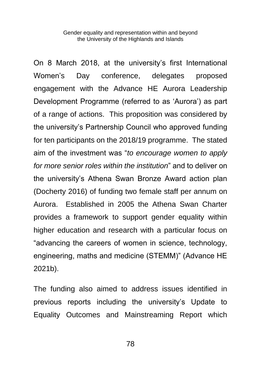On 8 March 2018, at the university's first International Women's Day conference, delegates proposed engagement with the Advance HE Aurora Leadership Development Programme (referred to as 'Aurora') as part of a range of actions. This proposition was considered by the university's Partnership Council who approved funding for ten participants on the 2018/19 programme. The stated aim of the investment was "*to encourage women to apply for more senior roles within the institution*" and to deliver on the university's Athena Swan Bronze Award action plan (Docherty 2016) of funding two female staff per annum on Aurora. Established in 2005 the Athena Swan Charter provides a framework to support gender equality within higher education and research with a particular focus on "advancing the careers of women in science, technology, engineering, maths and medicine (STEMM)" (Advance HE 2021b).

The funding also aimed to address issues identified in previous reports including the university's Update to Equality Outcomes and Mainstreaming Report which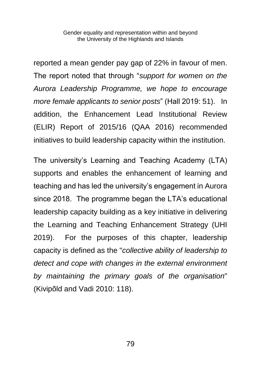reported a mean gender pay gap of 22% in favour of men. The report noted that through "*support for women on the Aurora Leadership Programme, we hope to encourage more female applicants to senior posts*" (Hall 2019: 51). In addition, the Enhancement Lead Institutional Review (ELIR) Report of 2015/16 (QAA 2016) recommended initiatives to build leadership capacity within the institution.

The university's Learning and Teaching Academy (LTA) supports and enables the enhancement of learning and teaching and has led the university's engagement in Aurora since 2018. The programme began the LTA's educational leadership capacity building as a key initiative in delivering the Learning and Teaching Enhancement Strategy (UHI 2019). For the purposes of this chapter, leadership capacity is defined as the "*collective ability of leadership to detect and cope with changes in the external environment by maintaining the primary goals of the organisation*" (Kivipõld and Vadi 2010: 118).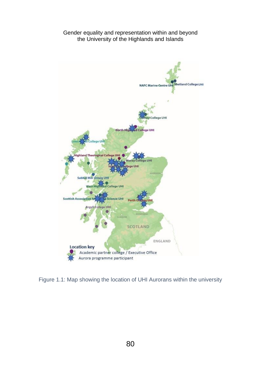

Figure 1.1: Map showing the location of UHI Aurorans within the university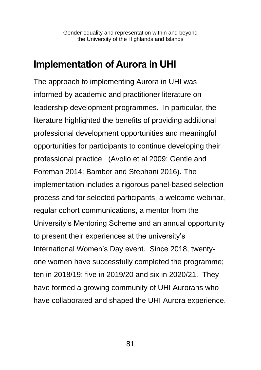#### **Implementation of Aurora in UHI**

The approach to implementing Aurora in UHI was informed by academic and practitioner literature on leadership development programmes. In particular, the literature highlighted the benefits of providing additional professional development opportunities and meaningful opportunities for participants to continue developing their professional practice. (Avolio et al 2009; Gentle and Foreman 2014; Bamber and Stephani 2016). The implementation includes a rigorous panel-based selection process and for selected participants, a welcome webinar, regular cohort communications, a mentor from the University's Mentoring Scheme and an annual opportunity to present their experiences at the university's International Women's Day event. Since 2018, twentyone women have successfully completed the programme; ten in 2018/19; five in 2019/20 and six in 2020/21. They have formed a growing community of UHI Aurorans who have collaborated and shaped the UHI Aurora experience.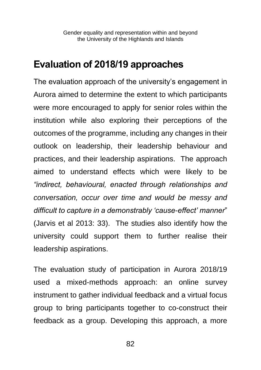#### **Evaluation of 2018/19 approaches**

The evaluation approach of the university's engagement in Aurora aimed to determine the extent to which participants were more encouraged to apply for senior roles within the institution while also exploring their perceptions of the outcomes of the programme, including any changes in their outlook on leadership, their leadership behaviour and practices, and their leadership aspirations. The approach aimed to understand effects which were likely to be *"indirect, behavioural, enacted through relationships and conversation, occur over time and would be messy and difficult to capture in a demonstrably 'cause-effect' manner*" (Jarvis et al 2013: 33). The studies also identify how the university could support them to further realise their leadership aspirations.

The evaluation study of participation in Aurora 2018/19 used a mixed-methods approach: an online survey instrument to gather individual feedback and a virtual focus group to bring participants together to co-construct their feedback as a group. Developing this approach, a more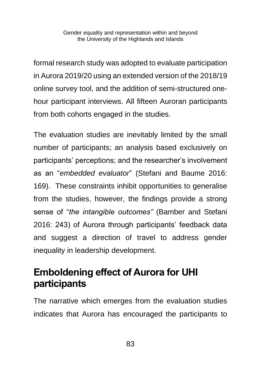formal research study was adopted to evaluate participation in Aurora 2019/20 using an extended version of the 2018/19 online survey tool, and the addition of semi-structured onehour participant interviews. All fifteen Auroran participants from both cohorts engaged in the studies.

The evaluation studies are inevitably limited by the small number of participants; an analysis based exclusively on participants' perceptions; and the researcher's involvement as an "*embedded evaluator*" (Stefani and Baume 2016: 169). These constraints inhibit opportunities to generalise from the studies, however, the findings provide a strong sense of "*the intangible outcomes"* (Bamber and Stefani 2016: 243) of Aurora through participants' feedback data and suggest a direction of travel to address gender inequality in leadership development.

#### **Emboldening effect of Aurora for UHI participants**

The narrative which emerges from the evaluation studies indicates that Aurora has encouraged the participants to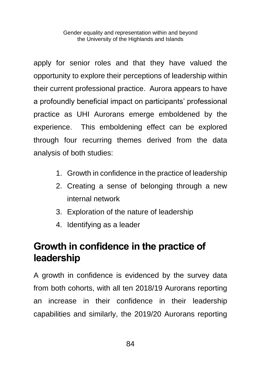apply for senior roles and that they have valued the opportunity to explore their perceptions of leadership within their current professional practice. Aurora appears to have a profoundly beneficial impact on participants' professional practice as UHI Aurorans emerge emboldened by the experience. This emboldening effect can be explored through four recurring themes derived from the data analysis of both studies:

- 1. Growth in confidence in the practice of leadership
- 2. Creating a sense of belonging through a new internal network
- 3. Exploration of the nature of leadership
- 4. Identifying as a leader

#### **Growth in confidence in the practice of leadership**

A growth in confidence is evidenced by the survey data from both cohorts, with all ten 2018/19 Aurorans reporting an increase in their confidence in their leadership capabilities and similarly, the 2019/20 Aurorans reporting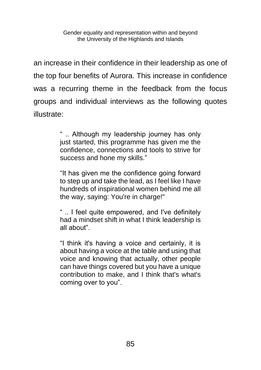an increase in their confidence in their leadership as one of the top four benefits of Aurora. This increase in confidence was a recurring theme in the feedback from the focus groups and individual interviews as the following quotes illustrate:

> " .. Although my leadership journey has only just started, this programme has given me the confidence, connections and tools to strive for success and hone my skills."

> "It has given me the confidence going forward to step up and take the lead, as I feel like I have hundreds of inspirational women behind me all the way, saying: You're in charge!"

> " .. I feel quite empowered, and I've definitely had a mindset shift in what I think leadership is all about".

> "I think it's having a voice and certainly, it is about having a voice at the table and using that voice and knowing that actually, other people can have things covered but you have a unique contribution to make, and I think that's what's coming over to you".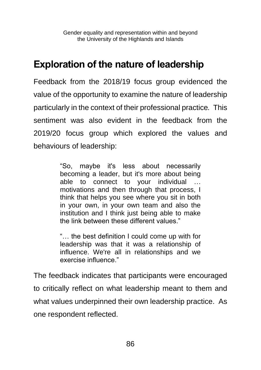#### **Exploration of the nature of leadership**

Feedback from the 2018/19 focus group evidenced the value of the opportunity to examine the nature of leadership particularly in the context of their professional practice*.* This sentiment was also evident in the feedback from the 2019/20 focus group which explored the values and behaviours of leadership:

> "So, maybe it's less about necessarily becoming a leader, but it's more about being able to connect to your individual motivations and then through that process, I think that helps you see where you sit in both in your own, in your own team and also the institution and I think just being able to make the link between these different values."

> "… the best definition I could come up with for leadership was that it was a relationship of influence. We're all in relationships and we exercise influence."

The feedback indicates that participants were encouraged to critically reflect on what leadership meant to them and what values underpinned their own leadership practice. As one respondent reflected.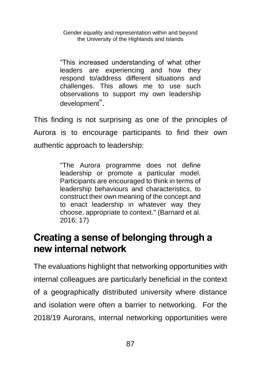"This increased understanding of what other leaders are experiencing and how they respond to/address different situations and challenges. This allows me to use such observations to support my own leadership development".

This finding is not surprising as one of the principles of Aurora is to encourage participants to find their own authentic approach to leadership:

> "The Aurora programme does not define leadership or promote a particular model. Participants are encouraged to think in terms of leadership behaviours and characteristics, to construct their own meaning of the concept and to enact leadership in whatever way they choose, appropriate to context." (Barnard et al.  $2016:17$

#### **Creating a sense of belonging through a new internal network**

The evaluations highlight that networking opportunities with internal colleagues are particularly beneficial in the context of a geographically distributed university where distance and isolation were often a barrier to networking. For the 2018/19 Aurorans, internal networking opportunities were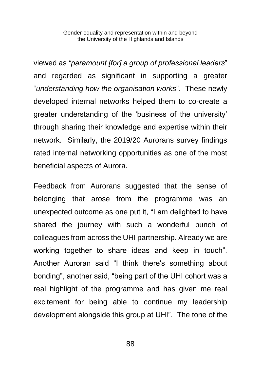viewed as *"paramount [for] a group of professional leaders*" and regarded as significant in supporting a greater "*understanding how the organisation works*". These newly developed internal networks helped them to co-create a greater understanding of the 'business of the university' through sharing their knowledge and expertise within their network. Similarly, the 2019/20 Aurorans survey findings rated internal networking opportunities as one of the most beneficial aspects of Aurora.

Feedback from Aurorans suggested that the sense of belonging that arose from the programme was an unexpected outcome as one put it, "I am delighted to have shared the journey with such a wonderful bunch of colleagues from across the UHI partnership. Already we are working together to share ideas and keep in touch". Another Auroran said "I think there's something about bonding", another said, "being part of the UHI cohort was a real highlight of the programme and has given me real excitement for being able to continue my leadership development alongside this group at UHI". The tone of the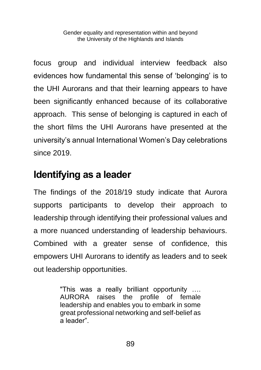focus group and individual interview feedback also evidences how fundamental this sense of 'belonging' is to the UHI Aurorans and that their learning appears to have been significantly enhanced because of its collaborative approach. This sense of belonging is captured in each of the short films the UHI Aurorans have presented at the university's annual International Women's Day celebrations since 2019.

#### **Identifying as a leader**

The findings of the 2018/19 study indicate that Aurora supports participants to develop their approach to leadership through identifying their professional values and a more nuanced understanding of leadership behaviours. Combined with a greater sense of confidence, this empowers UHI Aurorans to identify as leaders and to seek out leadership opportunities.

> "This was a really brilliant opportunity …. AURORA raises the profile of female leadership and enables you to embark in some great professional networking and self-belief as a leader".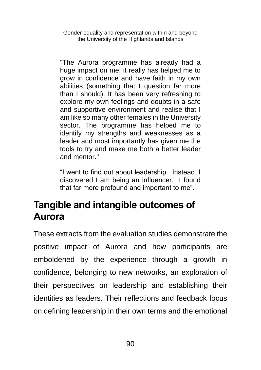"The Aurora programme has already had a huge impact on me; it really has helped me to grow in confidence and have faith in my own abilities (something that I question far more than I should). It has been very refreshing to explore my own feelings and doubts in a safe and supportive environment and realise that I am like so many other females in the University sector. The programme has helped me to identify my strengths and weaknesses as a leader and most importantly has given me the tools to try and make me both a better leader and mentor."

"I went to find out about leadership. Instead, I discovered I am being an influencer. I found that far more profound and important to me".

#### **Tangible and intangible outcomes of Aurora**

These extracts from the evaluation studies demonstrate the positive impact of Aurora and how participants are emboldened by the experience through a growth in confidence, belonging to new networks, an exploration of their perspectives on leadership and establishing their identities as leaders. Their reflections and feedback focus on defining leadership in their own terms and the emotional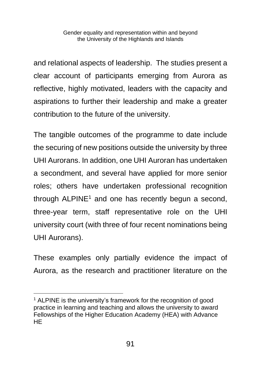and relational aspects of leadership. The studies present a clear account of participants emerging from Aurora as reflective, highly motivated, leaders with the capacity and aspirations to further their leadership and make a greater contribution to the future of the university.

The tangible outcomes of the programme to date include the securing of new positions outside the university by three UHI Aurorans. In addition, one UHI Auroran has undertaken a secondment, and several have applied for more senior roles; others have undertaken professional recognition through  $ALPINE<sup>1</sup>$  and one has recently begun a second, three-year term, staff representative role on the UHI university court (with three of four recent nominations being UHI Aurorans).

These examples only partially evidence the impact of Aurora, as the research and practitioner literature on the

<sup>&</sup>lt;sup>1</sup> ALPINE is the university's framework for the recognition of good practice in learning and teaching and allows the university to award Fellowships of the Higher Education Academy (HEA) with Advance HE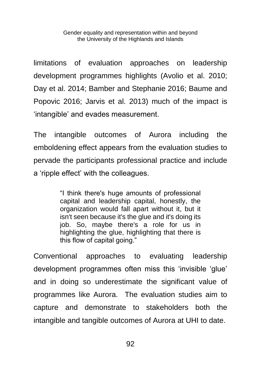limitations of evaluation approaches on leadership development programmes highlights (Avolio et al. 2010; Day et al. 2014; Bamber and Stephanie 2016; Baume and Popovic 2016; Jarvis et al. 2013) much of the impact is 'intangible' and evades measurement.

The intangible outcomes of Aurora including the emboldening effect appears from the evaluation studies to pervade the participants professional practice and include a 'ripple effect' with the colleagues.

> "I think there's huge amounts of professional capital and leadership capital, honestly, the organization would fall apart without it, but it isn't seen because it's the glue and it's doing its job. So, maybe there's a role for us in highlighting the glue, highlighting that there is this flow of capital going."

Conventional approaches to evaluating leadership development programmes often miss this 'invisible 'glue' and in doing so underestimate the significant value of programmes like Aurora. The evaluation studies aim to capture and demonstrate to stakeholders both the intangible and tangible outcomes of Aurora at UHI to date.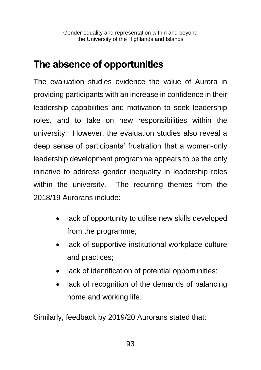#### **The absence of opportunities**

The evaluation studies evidence the value of Aurora in providing participants with an increase in confidence in their leadership capabilities and motivation to seek leadership roles, and to take on new responsibilities within the university. However, the evaluation studies also reveal a deep sense of participants' frustration that a women-only leadership development programme appears to be the only initiative to address gender inequality in leadership roles within the university. The recurring themes from the 2018/19 Aurorans include:

- lack of opportunity to utilise new skills developed from the programme;
- lack of supportive institutional workplace culture and practices;
- lack of identification of potential opportunities;
- lack of recognition of the demands of balancing home and working life.

Similarly, feedback by 2019/20 Aurorans stated that: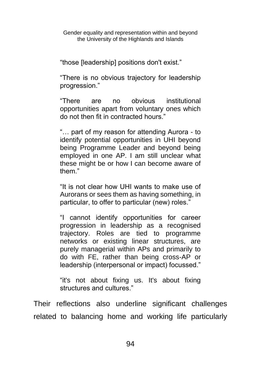"those [leadership] positions don't exist."

"There is no obvious trajectory for leadership progression."

"There are no obvious institutional opportunities apart from voluntary ones which do not then fit in contracted hours."

"… part of my reason for attending Aurora - to identify potential opportunities in UHI beyond being Programme Leader and beyond being employed in one AP. I am still unclear what these might be or how I can become aware of them."

"It is not clear how UHI wants to make use of Aurorans or sees them as having something, in particular, to offer to particular (new) roles."

"I cannot identify opportunities for career progression in leadership as a recognised trajectory. Roles are tied to programme networks or existing linear structures, are purely managerial within APs and primarily to do with FE, rather than being cross-AP or leadership (interpersonal or impact) focussed."

"it's not about fixing us. It's about fixing structures and cultures."

Their reflections also underline significant challenges related to balancing home and working life particularly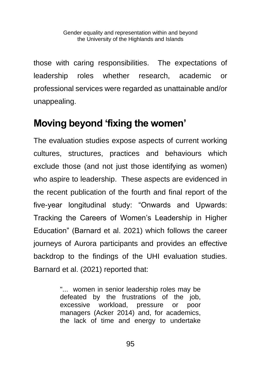those with caring responsibilities. The expectations of leadership roles whether research, academic or professional services were regarded as unattainable and/or unappealing.

#### **Moving beyond 'fixing the women'**

The evaluation studies expose aspects of current working cultures, structures, practices and behaviours which exclude those (and not just those identifying as women) who aspire to leadership. These aspects are evidenced in the recent publication of the fourth and final report of the five-year longitudinal study: "Onwards and Upwards: Tracking the Careers of Women's Leadership in Higher Education" (Barnard et al. 2021) which follows the career journeys of Aurora participants and provides an effective backdrop to the findings of the UHI evaluation studies. Barnard et al. (2021) reported that:

> "... women in senior leadership roles may be defeated by the frustrations of the job, excessive workload, pressure or poor managers (Acker 2014) and, for academics, the lack of time and energy to undertake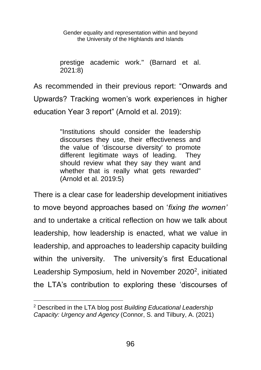prestige academic work." (Barnard et al. 2021:8)

As recommended in their previous report: "Onwards and Upwards? Tracking women's work experiences in higher education Year 3 report" (Arnold et al. 2019):

> "Institutions should consider the leadership discourses they use, their effectiveness and the value of 'discourse diversity' to promote different legitimate ways of leading. They should review what they say they want and whether that is really what gets rewarded" (Arnold et al. 2019:5)

There is a clear case for leadership development initiatives to move beyond approaches based on '*fixing the women'* and to undertake a critical reflection on how we talk about leadership, how leadership is enacted, what we value in leadership, and approaches to leadership capacity building within the university. The university's first Educational Leadership Symposium, held in November 2020<sup>2</sup>, initiated the LTA's contribution to exploring these 'discourses of

<sup>2</sup> Described in the LTA blog post *Building Educational Leadership Capacity: Urgency and Agency* (Connor, S. and Tilbury, A. (2021)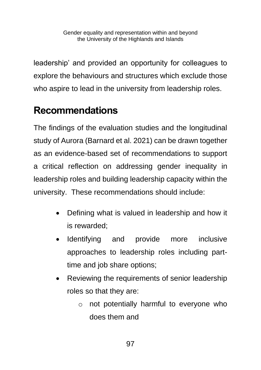leadership' and provided an opportunity for colleagues to explore the behaviours and structures which exclude those who aspire to lead in the university from leadership roles.

### **Recommendations**

The findings of the evaluation studies and the longitudinal study of Aurora (Barnard et al. 2021) can be drawn together as an evidence-based set of recommendations to support a critical reflection on addressing gender inequality in leadership roles and building leadership capacity within the university. These recommendations should include:

- Defining what is valued in leadership and how it is rewarded;
- Identifying and provide more inclusive approaches to leadership roles including parttime and job share options;
- Reviewing the requirements of senior leadership roles so that they are:
	- o not potentially harmful to everyone who does them and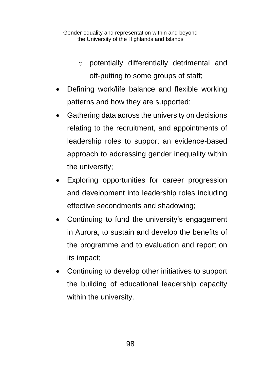- o potentially differentially detrimental and off-putting to some groups of staff;
- Defining work/life balance and flexible working patterns and how they are supported;
- Gathering data across the university on decisions relating to the recruitment, and appointments of leadership roles to support an evidence-based approach to addressing gender inequality within the university;
- Exploring opportunities for career progression and development into leadership roles including effective secondments and shadowing;
- Continuing to fund the university's engagement in Aurora, to sustain and develop the benefits of the programme and to evaluation and report on its impact;
- Continuing to develop other initiatives to support the building of educational leadership capacity within the university.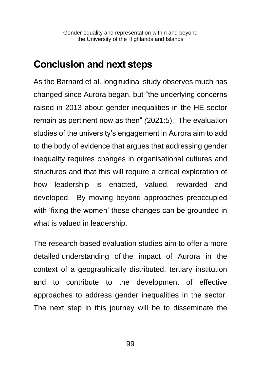#### **Conclusion and next steps**

As the Barnard et al. longitudinal study observes much has changed since Aurora began, but "the underlying concerns raised in 2013 about gender inequalities in the HE sector remain as pertinent now as then" *(*2021:5). The evaluation studies of the university's engagement in Aurora aim to add to the body of evidence that argues that addressing gender inequality requires changes in organisational cultures and structures and that this will require a critical exploration of how leadership is enacted, valued, rewarded and developed. By moving beyond approaches preoccupied with 'fixing the women' these changes can be grounded in what is valued in leadership.

The research-based evaluation studies aim to offer a more detailed understanding of the impact of Aurora in the context of a geographically distributed, tertiary institution and to contribute to the development of effective approaches to address gender inequalities in the sector. The next step in this journey will be to disseminate the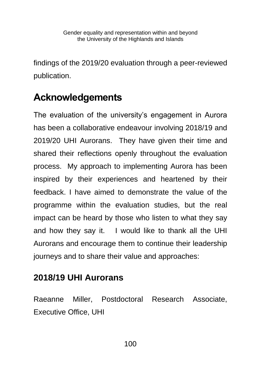findings of the 2019/20 evaluation through a peer-reviewed publication.

### **Acknowledgements**

The evaluation of the university's engagement in Aurora has been a collaborative endeavour involving 2018/19 and 2019/20 UHI Aurorans. They have given their time and shared their reflections openly throughout the evaluation process. My approach to implementing Aurora has been inspired by their experiences and heartened by their feedback. I have aimed to demonstrate the value of the programme within the evaluation studies, but the real impact can be heard by those who listen to what they say and how they say it. I would like to thank all the UHI Aurorans and encourage them to continue their leadership journeys and to share their value and approaches:

#### **2018/19 UHI Aurorans**

Raeanne Miller, Postdoctoral Research Associate, Executive Office, UHI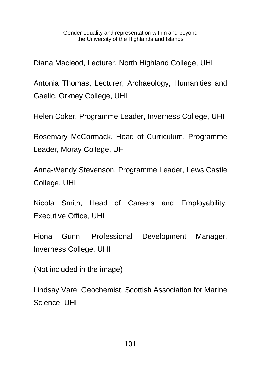Diana Macleod, Lecturer, North Highland College, UHI

Antonia Thomas, Lecturer, Archaeology, Humanities and Gaelic, Orkney College, UHI

Helen Coker, Programme Leader, Inverness College, UHI

Rosemary McCormack, Head of Curriculum, Programme Leader, Moray College, UHI

Anna-Wendy Stevenson, Programme Leader, Lews Castle College, UHI

Nicola Smith, Head of Careers and Employability, Executive Office, UHI

Fiona Gunn, Professional Development Manager, Inverness College, UHI

(Not included in the image)

Lindsay Vare, Geochemist, Scottish Association for Marine Science, UHI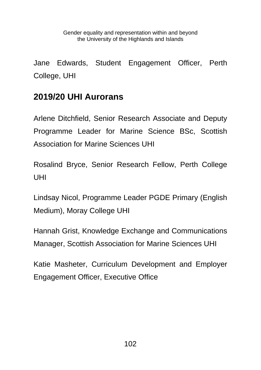Jane Edwards, Student Engagement Officer, Perth College, UHI

#### **2019/20 UHI Aurorans**

Arlene Ditchfield, Senior Research Associate and Deputy Programme Leader for Marine Science BSc, Scottish Association for Marine Sciences UHI

Rosalind Bryce, Senior Research Fellow, Perth College UHI

Lindsay Nicol, Programme Leader PGDE Primary (English Medium), Moray College UHI

Hannah Grist, Knowledge Exchange and Communications Manager, Scottish Association for Marine Sciences UHI

Katie Masheter, Curriculum Development and Employer Engagement Officer, Executive Office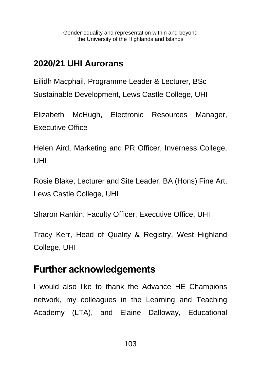#### **2020/21 UHI Aurorans**

Eilidh Macphail, Programme Leader & Lecturer, BSc Sustainable Development, Lews Castle College, UHI

Elizabeth McHugh, Electronic Resources Manager, Executive Office

Helen Aird, Marketing and PR Officer, Inverness College, UHI

Rosie Blake, Lecturer and Site Leader, BA (Hons) Fine Art, Lews Castle College, UHI

Sharon Rankin, Faculty Officer, Executive Office, UHI

Tracy Kerr, Head of Quality & Registry, West Highland College, UHI

#### **Further acknowledgements**

I would also like to thank the Advance HE Champions network, my colleagues in the Learning and Teaching Academy (LTA), and Elaine Dalloway, Educational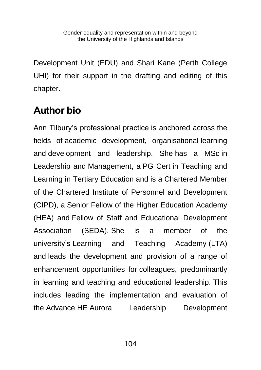Development Unit (EDU) and Shari Kane (Perth College UHI) for their support in the drafting and editing of this chapter.

#### **Author bio**

Ann Tilbury's professional practice is anchored across the fields of academic development, organisational learning and development and leadership. She has a MSc in Leadership and Management, a PG Cert in Teaching and Learning in Tertiary Education and is a Chartered Member of the Chartered Institute of Personnel and Development (CIPD), a Senior Fellow of the Higher Education Academy (HEA) and Fellow of Staff and Educational Development Association (SEDA). She is a member of the university's Learning and Teaching Academy (LTA) and leads the development and provision of a range of enhancement opportunities for colleagues, predominantly in learning and teaching and educational leadership. This includes leading the implementation and evaluation of the Advance HE Aurora Leadership Development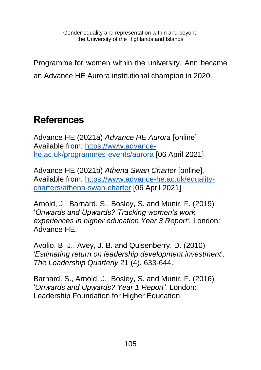Programme for women within the university. Ann became an Advance HE Aurora institutional champion in 2020.

#### **References**

Advance HE (2021a) *Advance HE Aurora* [online]. Available from: [https://www.advance](https://www.advance-he.ac.uk/programmes-events/aurora)[he.ac.uk/programmes-events/aurora](https://www.advance-he.ac.uk/programmes-events/aurora) [06 April 2021]

Advance HE (2021b) *Athena Swan Charter* [online]. Available from: [https://www.advance-he.ac.uk/equality](https://www.advance-he.ac.uk/equality-charters/athena-swan-charter)[charters/athena-swan-charter](https://www.advance-he.ac.uk/equality-charters/athena-swan-charter) [06 April 2021]

Arnold, J., Barnard, S., Bosley, S. and Munir, F. (2019) '*Onwards and Upwards? Tracking women's work experiences in higher education Year 3 Report'.* London: Advance HE.

Avolio, B. J., Avey, J. B. and Quisenberry, D. (2010) *'Estimating return on leadership development investment*'. *The Leadership Quarterly* 21 (4), 633-644.

Barnard, S., Arnold, J., Bosley, S. and Munir, F. (2016) '*Onwards and Upwards? Year 1 Report'.* London: Leadership Foundation for Higher Education.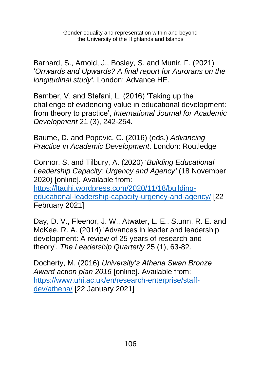Barnard, S., Arnold, J., Bosley, S. and Munir, F. (2021) '*Onwards and Upwards? A final report for Aurorans on the longitudinal study'.* London: Advance HE.

Bamber, V. and Stefani, L. (2016) 'Taking up the challenge of evidencing value in educational development: from theory to practice', *International Journal for Academic Development* 21 (3), 242-254.

Baume, D. and Popovic, C. (2016) (eds.) *Advancing Practice in Academic Development*. London: Routledge

Connor, S. and Tilbury, A. (2020) '*Building Educational Leadership Capacity: Urgency and Agency'* (18 November 2020) [online]. Available from: [https://ltauhi.wordpress.com/2020/11/18/building](https://ltauhi.wordpress.com/2020/11/18/building-educational-leadership-capacity-urgency-and-agency/)[educational-leadership-capacity-urgency-and-agency/](https://ltauhi.wordpress.com/2020/11/18/building-educational-leadership-capacity-urgency-and-agency/) [22 February 2021]

Day, D. V., Fleenor, J. W., Atwater, L. E., Sturm, R. E. and McKee, R. A. (2014) 'Advances in leader and leadership development: A review of 25 years of research and theory'. *The Leadership Quarterly* 25 (1), 63-82.

Docherty, M. (2016) *University's Athena Swan Bronze Award action plan 2016* [online]. Available from: [https://www.uhi.ac.uk/en/research-enterprise/staff](https://www.uhi.ac.uk/en/research-enterprise/staff-dev/athena/)[dev/athena/](https://www.uhi.ac.uk/en/research-enterprise/staff-dev/athena/) [22 January 2021]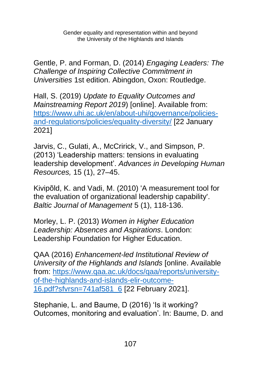Gentle, P. and Forman, D. (2014) *Engaging Leaders: The Challenge of Inspiring Collective Commitment in Universities* 1st edition. Abingdon, Oxon: Routledge.

Hall, S. (2019) *Update to Equality Outcomes and Mainstreaming Report 2019*) [online]. Available from: [https://www.uhi.ac.uk/en/about-uhi/governance/policies](https://www.uhi.ac.uk/en/about-uhi/governance/policies-and-regulations/policies/equality-diversity/)[and-regulations/policies/equality-diversity/](https://www.uhi.ac.uk/en/about-uhi/governance/policies-and-regulations/policies/equality-diversity/) [22 January 2021]

Jarvis, C., Gulati, A., McCririck, V., and Simpson, P. (2013) 'Leadership matters: tensions in evaluating leadership development'. *Advances in Developing Human Resources,* 15 (1), 27–45.

Kivipõld, K. and Vadi, M. (2010) 'A measurement tool for the evaluation of organizational leadership capability'. *Baltic Journal of Management* 5 (1), 118-136.

Morley, L. P. (2013) *Women in Higher Education Leadership: Absences and Aspirations*. London: Leadership Foundation for Higher Education.

QAA (2016) *Enhancement-led Institutional Review of University of the Highlands and Islands* [online. Available from: [https://www.qaa.ac.uk/docs/qaa/reports/university](https://www.qaa.ac.uk/docs/qaa/reports/university-of-the-highlands-and-islands-elir-outcome-16.pdf?sfvrsn=741af581_6)[of-the-highlands-and-islands-elir-outcome-](https://www.qaa.ac.uk/docs/qaa/reports/university-of-the-highlands-and-islands-elir-outcome-16.pdf?sfvrsn=741af581_6)[16.pdf?sfvrsn=741af581\\_6](https://www.qaa.ac.uk/docs/qaa/reports/university-of-the-highlands-and-islands-elir-outcome-16.pdf?sfvrsn=741af581_6) [22 February 2021].

Stephanie, L. and Baume, D (2016) 'Is it working? Outcomes, monitoring and evaluation'. In: Baume, D. and